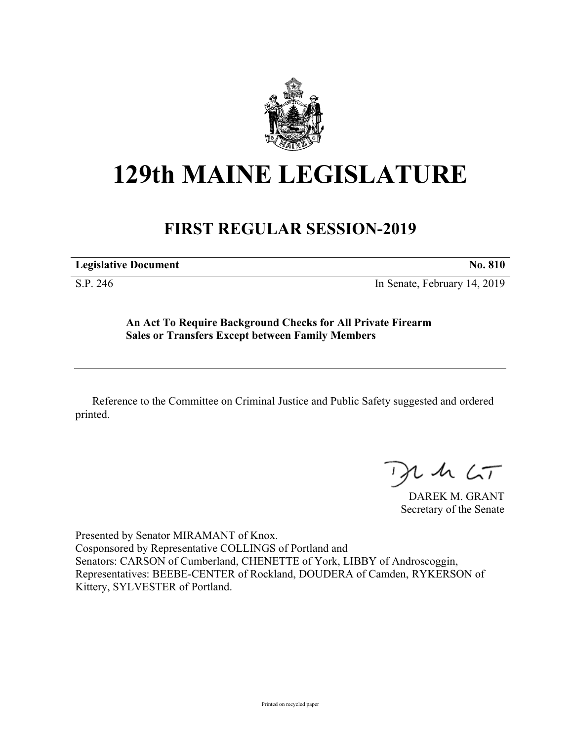

## **129th MAINE LEGISLATURE**

## **FIRST REGULAR SESSION-2019**

**Legislative Document No. 810**

S.P. 246 In Senate, February 14, 2019

**An Act To Require Background Checks for All Private Firearm Sales or Transfers Except between Family Members**

Reference to the Committee on Criminal Justice and Public Safety suggested and ordered printed.

 $125$ 

DAREK M. GRANT Secretary of the Senate

Presented by Senator MIRAMANT of Knox. Cosponsored by Representative COLLINGS of Portland and Senators: CARSON of Cumberland, CHENETTE of York, LIBBY of Androscoggin, Representatives: BEEBE-CENTER of Rockland, DOUDERA of Camden, RYKERSON of Kittery, SYLVESTER of Portland.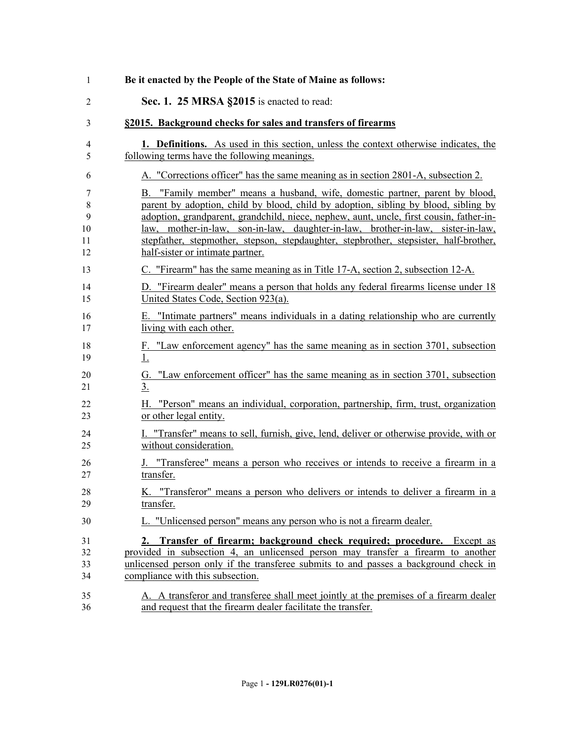| 1        | Be it enacted by the People of the State of Maine as follows:                                            |
|----------|----------------------------------------------------------------------------------------------------------|
| 2        | Sec. 1. 25 MRSA §2015 is enacted to read:                                                                |
| 3        | §2015. Background checks for sales and transfers of firearms                                             |
| 4        | <b>1. Definitions.</b> As used in this section, unless the context otherwise indicates, the              |
| 5        | following terms have the following meanings.                                                             |
| 6        | A. "Corrections officer" has the same meaning as in section 2801-A, subsection 2.                        |
| 7        | B. "Family member" means a husband, wife, domestic partner, parent by blood,                             |
| 8        | parent by adoption, child by blood, child by adoption, sibling by blood, sibling by                      |
| 9        | adoption, grandparent, grandchild, niece, nephew, aunt, uncle, first cousin, father-in-                  |
| 10       | law, mother-in-law, son-in-law, daughter-in-law, brother-in-law, sister-in-law,                          |
| 11       | stepfather, stepmother, stepson, stepdaughter, stepbrother, stepsister, half-brother,                    |
| 12       | half-sister or intimate partner.                                                                         |
| 13       | C. "Firearm" has the same meaning as in Title 17-A, section 2, subsection 12-A.                          |
| 14       | D. "Firearm dealer" means a person that holds any federal firearms license under 18                      |
| 15       | United States Code, Section 923(a).                                                                      |
| 16       | E. "Intimate partners" means individuals in a dating relationship who are currently                      |
| 17       | living with each other.                                                                                  |
| 18       | F. "Law enforcement agency" has the same meaning as in section 3701, subsection                          |
| 19       | $\overline{1}$ .                                                                                         |
| 20<br>21 | "Law enforcement officer" has the same meaning as in section 3701, subsection<br>G.<br>$\underline{3}$ . |
| 22       | H. "Person" means an individual, corporation, partnership, firm, trust, organization                     |
| 23       | or other legal entity.                                                                                   |
| 24       | I. "Transfer" means to sell, furnish, give, lend, deliver or otherwise provide, with or                  |
| 25       | without consideration.                                                                                   |
| 26       | J. "Transferee" means a person who receives or intends to receive a firearm in a                         |
| 27       | transfer.                                                                                                |
| 28       | K. "Transferor" means a person who delivers or intends to deliver a firearm in a                         |
| 29       | transfer.                                                                                                |
| 30       | L. "Unlicensed person" means any person who is not a firearm dealer.                                     |
| 31       | 2. Transfer of firearm; background check required; procedure. Except as                                  |
| 32       | provided in subsection 4, an unlicensed person may transfer a firearm to another                         |
| 33       | unlicensed person only if the transferee submits to and passes a background check in                     |
| 34       | compliance with this subsection.                                                                         |
| 35       | A. A transferor and transferee shall meet jointly at the premises of a firearm dealer                    |
| 36       | and request that the firearm dealer facilitate the transfer.                                             |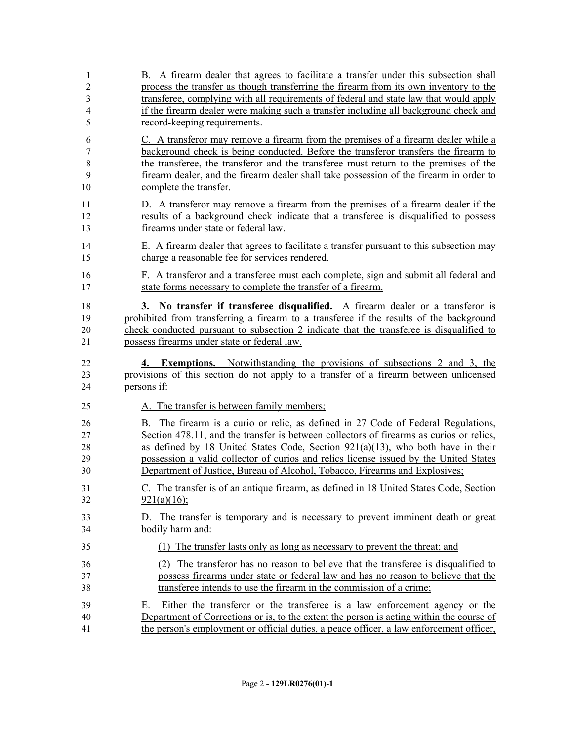| 1              | B. A firearm dealer that agrees to facilitate a transfer under this subsection shall     |
|----------------|------------------------------------------------------------------------------------------|
| $\overline{c}$ | process the transfer as though transferring the firearm from its own inventory to the    |
| 3              | transferee, complying with all requirements of federal and state law that would apply    |
| 4              | if the firearm dealer were making such a transfer including all background check and     |
| 5              | record-keeping requirements.                                                             |
| 6              | C. A transferor may remove a firearm from the premises of a firearm dealer while a       |
| 7              | background check is being conducted. Before the transferor transfers the firearm to      |
| 8              | the transferee, the transferor and the transferee must return to the premises of the     |
| 9              | firearm dealer, and the firearm dealer shall take possession of the firearm in order to  |
| 10             | complete the transfer.                                                                   |
| 11             | D. A transferor may remove a firearm from the premises of a firearm dealer if the        |
| 12             | results of a background check indicate that a transferee is disqualified to possess      |
| 13             | firearms under state or federal law.                                                     |
| 14             | E. A firearm dealer that agrees to facilitate a transfer pursuant to this subsection may |
| 15             | charge a reasonable fee for services rendered.                                           |
| 16             | F. A transferor and a transferee must each complete, sign and submit all federal and     |
| 17             | state forms necessary to complete the transfer of a firearm.                             |
| 18             | 3. No transfer if transferee disqualified. A firearm dealer or a transferor is           |
| 19             | prohibited from transferring a firearm to a transferee if the results of the background  |
| 20             | check conducted pursuant to subsection 2 indicate that the transferee is disqualified to |
| 21             | possess firearms under state or federal law.                                             |
|                |                                                                                          |
| 22             | <b>4. Exemptions.</b> Notwithstanding the provisions of subsections 2 and 3, the         |
| 23             | provisions of this section do not apply to a transfer of a firearm between unlicensed    |
| 24             | persons if:                                                                              |
| 25             | A. The transfer is between family members;                                               |
| 26             | B. The firearm is a curio or relic, as defined in 27 Code of Federal Regulations,        |
| 27             | Section 478.11, and the transfer is between collectors of firearms as curios or relics,  |
| 28             | as defined by 18 United States Code, Section $921(a)(13)$ , who both have in their       |
| 29             | possession a valid collector of curios and relics license issued by the United States    |
| 30             | Department of Justice, Bureau of Alcohol, Tobacco, Firearms and Explosives;              |
| 31             | C. The transfer is of an antique firearm, as defined in 18 United States Code, Section   |
| 32             | $921(a)(16)$ ;                                                                           |
| 33             | D. The transfer is temporary and is necessary to prevent imminent death or great         |
| 34             | bodily harm and:                                                                         |
| 35             | (1) The transfer lasts only as long as necessary to prevent the threat; and              |
| 36             | (2) The transferor has no reason to believe that the transferee is disqualified to       |
| 37             | possess firearms under state or federal law and has no reason to believe that the        |
| 38             | transferee intends to use the firearm in the commission of a crime;                      |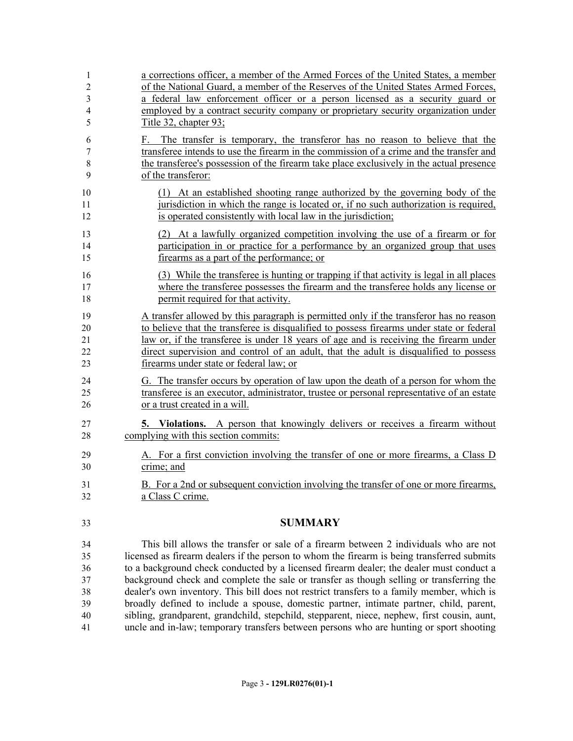| 1                          | a corrections officer, a member of the Armed Forces of the United States, a member                                                                                                                                                                                                             |
|----------------------------|------------------------------------------------------------------------------------------------------------------------------------------------------------------------------------------------------------------------------------------------------------------------------------------------|
| $\overline{2}$             | of the National Guard, a member of the Reserves of the United States Armed Forces,                                                                                                                                                                                                             |
| $\mathfrak{Z}$             | a federal law enforcement officer or a person licensed as a security guard or                                                                                                                                                                                                                  |
| 4                          | employed by a contract security company or proprietary security organization under                                                                                                                                                                                                             |
| 5                          | Title 32, chapter 93;                                                                                                                                                                                                                                                                          |
| 6<br>7<br>$\,$ 8 $\,$<br>9 | The transfer is temporary, the transferor has no reason to believe that the<br>F.<br>transferee intends to use the firearm in the commission of a crime and the transfer and<br>the transferee's possession of the firearm take place exclusively in the actual presence<br>of the transferor: |
| 10                         | (1) At an established shooting range authorized by the governing body of the                                                                                                                                                                                                                   |
| 11                         | jurisdiction in which the range is located or, if no such authorization is required,                                                                                                                                                                                                           |
| 12                         | is operated consistently with local law in the jurisdiction;                                                                                                                                                                                                                                   |
| 13                         | (2) At a lawfully organized competition involving the use of a firearm or for                                                                                                                                                                                                                  |
| 14                         | participation in or practice for a performance by an organized group that uses                                                                                                                                                                                                                 |
| 15                         | firearms as a part of the performance; or                                                                                                                                                                                                                                                      |
| 16                         | (3) While the transferee is hunting or trapping if that activity is legal in all places                                                                                                                                                                                                        |
| 17                         | where the transferee possesses the firearm and the transferee holds any license or                                                                                                                                                                                                             |
| 18                         | permit required for that activity.                                                                                                                                                                                                                                                             |
| 19                         | A transfer allowed by this paragraph is permitted only if the transferor has no reason                                                                                                                                                                                                         |
| 20                         | to believe that the transferee is disqualified to possess firearms under state or federal                                                                                                                                                                                                      |
| 21                         | law or, if the transferee is under 18 years of age and is receiving the firearm under                                                                                                                                                                                                          |
| 22                         | direct supervision and control of an adult, that the adult is disqualified to possess                                                                                                                                                                                                          |
| 23                         | firearms under state or federal law; or                                                                                                                                                                                                                                                        |
| 24                         | G. The transfer occurs by operation of law upon the death of a person for whom the                                                                                                                                                                                                             |
| 25                         | transferee is an executor, administrator, trustee or personal representative of an estate                                                                                                                                                                                                      |
| 26                         | or a trust created in a will.                                                                                                                                                                                                                                                                  |
| 27                         | <b>5.</b> Violations. A person that knowingly delivers or receives a firearm without                                                                                                                                                                                                           |
| 28                         | complying with this section commits:                                                                                                                                                                                                                                                           |
| 29                         | A. For a first conviction involving the transfer of one or more firearms, a Class D                                                                                                                                                                                                            |
| 30                         | crime; and                                                                                                                                                                                                                                                                                     |
| 31                         | B. For a 2nd or subsequent conviction involving the transfer of one or more firearms,                                                                                                                                                                                                          |
| 32                         | a Class C crime.                                                                                                                                                                                                                                                                               |
| 33                         | <b>SUMMARY</b>                                                                                                                                                                                                                                                                                 |
| 34                         | This bill allows the transfer or sale of a firearm between 2 individuals who are not                                                                                                                                                                                                           |
| 35                         | licensed as firearm dealers if the person to whom the firearm is being transferred submits                                                                                                                                                                                                     |
| 36                         | to a background check conducted by a licensed firearm dealer; the dealer must conduct a                                                                                                                                                                                                        |
| 37                         | background check and complete the sale or transfer as though selling or transferring the                                                                                                                                                                                                       |
| 38                         | dealer's own inventory. This bill does not restrict transfers to a family member, which is                                                                                                                                                                                                     |
| 39                         | broadly defined to include a spouse, domestic partner, intimate partner, child, parent,                                                                                                                                                                                                        |
| 40                         | sibling, grandparent, grandchild, stepchild, stepparent, niece, nephew, first cousin, aunt,                                                                                                                                                                                                    |
| 41                         | uncle and in-law; temporary transfers between persons who are hunting or sport shooting                                                                                                                                                                                                        |